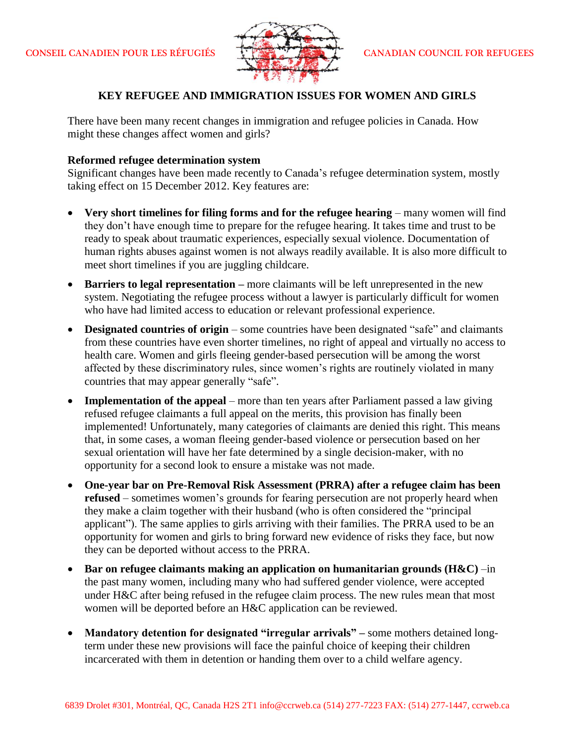

# **KEY REFUGEE AND IMMIGRATION ISSUES FOR WOMEN AND GIRLS**

There have been many recent changes in immigration and refugee policies in Canada. How might these changes affect women and girls?

### **Reformed refugee determination system**

Significant changes have been made recently to Canada's refugee determination system, mostly taking effect on 15 December 2012. Key features are:

- **Very short timelines for filing forms and for the refugee hearing** many women will find they don't have enough time to prepare for the refugee hearing. It takes time and trust to be ready to speak about traumatic experiences, especially sexual violence. Documentation of human rights abuses against women is not always readily available. It is also more difficult to meet short timelines if you are juggling childcare.
- **Barriers to legal representation –** more claimants will be left unrepresented in the new system. Negotiating the refugee process without a lawyer is particularly difficult for women who have had limited access to education or relevant professional experience.
- **Designated countries of origin** some countries have been designated "safe" and claimants from these countries have even shorter timelines, no right of appeal and virtually no access to health care. Women and girls fleeing gender-based persecution will be among the worst affected by these discriminatory rules, since women's rights are routinely violated in many countries that may appear generally "safe".
- **Implementation of the appeal** more than ten years after Parliament passed a law giving refused refugee claimants a full appeal on the merits, this provision has finally been implemented! Unfortunately, many categories of claimants are denied this right. This means that, in some cases, a woman fleeing gender-based violence or persecution based on her sexual orientation will have her fate determined by a single decision-maker, with no opportunity for a second look to ensure a mistake was not made.
- **One-year bar on Pre-Removal Risk Assessment (PRRA) after a refugee claim has been refused** – sometimes women's grounds for fearing persecution are not properly heard when they make a claim together with their husband (who is often considered the "principal applicant"). The same applies to girls arriving with their families. The PRRA used to be an opportunity for women and girls to bring forward new evidence of risks they face, but now they can be deported without access to the PRRA.
- **Bar on refugee claimants making an application on humanitarian grounds (H&C)** –in the past many women, including many who had suffered gender violence, were accepted under H&C after being refused in the refugee claim process. The new rules mean that most women will be deported before an H&C application can be reviewed.
- **Mandatory detention for designated "irregular arrivals" –** some mothers detained longterm under these new provisions will face the painful choice of keeping their children incarcerated with them in detention or handing them over to a child welfare agency.